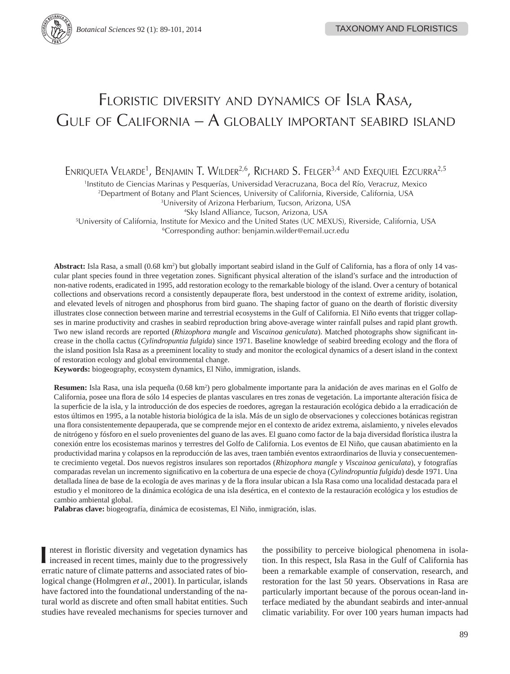# FLORISTIC DIVERSITY AND DYNAMICS OF ISLA RASA, GULF OF CALIFORNIA – A GLOBALLY IMPORTANT SEABIRD ISLAND

Enriqueta Velarde<sup>1</sup>, Benjamin T. Wilder<sup>2,6</sup>, Richard S. Felger<sup>3,4</sup> and Exequiel Ezcurra<sup>2,5</sup>

1 Instituto de Ciencias Marinas y Pesquerías, Universidad Veracruzana, Boca del Río, Veracruz, Mexico

2 Department of Botany and Plant Sciences, University of California, Riverside, California, USA

3 University of Arizona Herbarium, Tucson, Arizona, USA

4 Sky Island Alliance, Tucson, Arizona, USA

5 University of California, Institute for Mexico and the United States (UC MEXUS), Riverside, California, USA 6 Corresponding author: benjamin.wilder@email.ucr.edu

Abstract: Isla Rasa, a small (0.68 km²) but globally important seabird island in the Gulf of California, has a flora of only 14 vascular plant species found in three vegetation zones. Significant physical alteration of the island's surface and the introduction of non-native rodents, eradicated in 1995, add restoration ecology to the remarkable biology of the island. Over a century of botanical collections and observations record a consistently depauperate flora, best understood in the context of extreme aridity, isolation, and elevated levels of nitrogen and phosphorus from bird guano. The shaping factor of guano on the dearth of floristic diversity illustrates close connection between marine and terrestrial ecosystems in the Gulf of California. El Niño events that trigger collapses in marine productivity and crashes in seabird reproduction bring above-average winter rainfall pulses and rapid plant growth. Two new island records are reported (*Rhizophora mangle* and *Viscainoa geniculata*). Matched photographs show significant increase in the cholla cactus (*Cylindropuntia fulgida*) since 1971. Baseline knowledge of seabird breeding ecology and the flora of the island position Isla Rasa as a preeminent locality to study and monitor the ecological dynamics of a desert island in the context of restoration ecology and global environmental change.

**Keywords:** biogeography, ecosystem dynamics, El Niño, immigration, islands.

**Resumen:** Isla Rasa, una isla pequeña (0.68 km2 ) pero globalmente importante para la anidación de aves marinas en el Golfo de California, posee una flora de sólo 14 especies de plantas vasculares en tres zonas de vegetación. La importante alteración física de la superficie de la isla, y la introducción de dos especies de roedores, agregan la restauración ecológica debido a la erradicación de estos últimos en 1995, a la notable historia biológica de la isla. Más de un siglo de observaciones y colecciones botánicas registran una flora consistentemente depauperada, que se comprende mejor en el contexto de aridez extrema, aislamiento, y niveles elevados de nitrógeno y fósforo en el suelo provenientes del guano de las aves. El guano como factor de la baja diversidad florística ilustra la conexión entre los ecosistemas marinos y terrestres del Golfo de California. Los eventos de El Niño, que causan abatimiento en la productividad marina y colapsos en la reproducción de las aves, traen también eventos extraordinarios de lluvia y consecuentemente crecimiento vegetal. Dos nuevos registros insulares son reportados (*Rhizophora mangle* y *Viscainoa geniculata*), y fotografías comparadas revelan un incremento significativo en la cobertura de una especie de choya (*Cylindropuntia fulgida*) desde 1971. Una detallada línea de base de la ecología de aves marinas y de la flora insular ubican a Isla Rasa como una localidad destacada para el estudio y el monitoreo de la dinámica ecológica de una isla desértica, en el contexto de la restauración ecológica y los estudios de cambio ambiental global.

**Palabras clave:** biogeografía, dinámica de ecosistemas, El Niño, inmigración, islas.

**I** nterest in floristic diversity and vegetation dynamics has increased in recent times, mainly due to the progressively erratic nature of climate patterns and associated rates of biological change (Holmgren *et al*., 2001). In particular, islands have factored into the foundational understanding of the natural world as discrete and often small habitat entities. Such studies have revealed mechanisms for species turnover and the possibility to perceive biological phenomena in isolation. In this respect, Isla Rasa in the Gulf of California has been a remarkable example of conservation, research, and restoration for the last 50 years. Observations in Rasa are particularly important because of the porous ocean-land interface mediated by the abundant seabirds and inter-annual climatic variability. For over 100 years human impacts had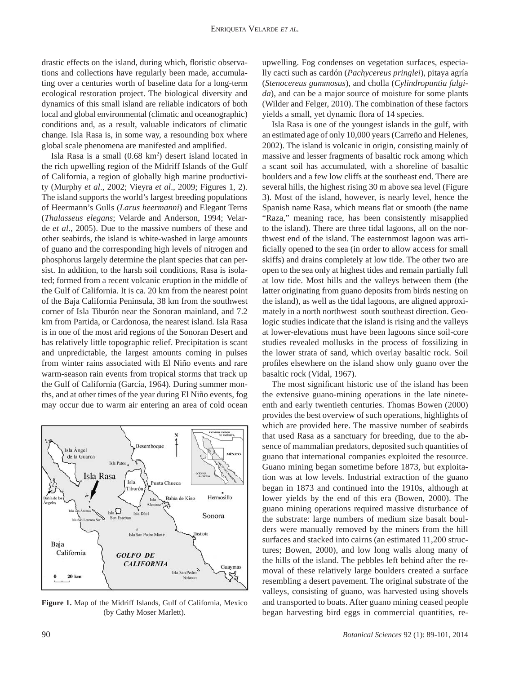drastic effects on the island, during which, floristic observations and collections have regularly been made, accumulating over a centuries worth of baseline data for a long-term ecological restoration project. The biological diversity and dynamics of this small island are reliable indicators of both local and global environmental (climatic and oceanographic) conditions and, as a result, valuable indicators of climatic change. Isla Rasa is, in some way, a resounding box where global scale phenomena are manifested and amplified.

 Isla Rasa is a small (0.68 km2 ) desert island located in the rich upwelling region of the Midriff Islands of the Gulf of California, a region of globally high marine productivity (Murphy *et al*., 2002; Vieyra *et al*., 2009; Figures 1, 2). The island supports the world's largest breeding populations of Heermann's Gulls (*Larus heermanni*) and Elegant Terns (*Thalasseus elegans*; Velarde and Anderson, 1994; Velarde *et al*., 2005). Due to the massive numbers of these and other seabirds, the island is white-washed in large amounts of guano and the corresponding high levels of nitrogen and phosphorus largely determine the plant species that can persist. In addition, to the harsh soil conditions, Rasa is isolated; formed from a recent volcanic eruption in the middle of the Gulf of California. It is ca. 20 km from the nearest point of the Baja California Peninsula, 38 km from the southwest corner of Isla Tiburón near the Sonoran mainland, and 7.2 km from Partida, or Cardonosa, the nearest island. Isla Rasa is in one of the most arid regions of the Sonoran Desert and has relatively little topographic relief. Precipitation is scant and unpredictable, the largest amounts coming in pulses from winter rains associated with El Niño events and rare warm-season rain events from tropical storms that track up the Gulf of California (García, 1964). During summer months, and at other times of the year during El Niño events, fog may occur due to warm air entering an area of cold ocean



**Figure 1.** Map of the Midriff Islands, Gulf of California, Mexico (by Cathy Moser Marlett).

upwelling. Fog condenses on vegetation surfaces, especially cacti such as cardón (*Pachycereus pringlei*), pitaya agría (*Stenocereus gummosus*), and cholla (*Cylindropuntia fulgida*), and can be a major source of moisture for some plants (Wilder and Felger, 2010). The combination of these factors yields a small, yet dynamic flora of 14 species.

 Isla Rasa is one of the youngest islands in the gulf, with an estimated age of only 10,000 years (Carreño and Helenes, 2002). The island is volcanic in origin, consisting mainly of massive and lesser fragments of basaltic rock among which a scant soil has accumulated, with a shoreline of basaltic boulders and a few low cliffs at the southeast end. There are several hills, the highest rising 30 m above sea level (Figure 3). Most of the island, however, is nearly level, hence the Spanish name Rasa, which means flat or smooth (the name "Raza," meaning race, has been consistently misapplied to the island). There are three tidal lagoons, all on the northwest end of the island. The easternmost lagoon was artificially opened to the sea (in order to allow access for small skiffs) and drains completely at low tide. The other two are open to the sea only at highest tides and remain partially full at low tide. Most hills and the valleys between them (the latter originating from guano deposits from birds nesting on the island), as well as the tidal lagoons, are aligned approximately in a north northwest–south southeast direction. Geologic studies indicate that the island is rising and the valleys at lower-elevations must have been lagoons since soil-core studies revealed mollusks in the process of fossilizing in the lower strata of sand, which overlay basaltic rock. Soil profiles elsewhere on the island show only guano over the basaltic rock (Vidal, 1967).

The most significant historic use of the island has been the extensive guano-mining operations in the late nineteenth and early twentieth centuries. Thomas Bowen (2000) provides the best overview of such operations, highlights of which are provided here. The massive number of seabirds that used Rasa as a sanctuary for breeding, due to the absence of mammalian predators, deposited such quantities of guano that international companies exploited the resource. Guano mining began sometime before 1873, but exploitation was at low levels. Industrial extraction of the guano began in 1873 and continued into the 1910s, although at lower yields by the end of this era (Bowen, 2000). The guano mining operations required massive disturbance of the substrate: large numbers of medium size basalt boulders were manually removed by the miners from the hill surfaces and stacked into cairns (an estimated 11,200 structures; Bowen, 2000), and low long walls along many of the hills of the island. The pebbles left behind after the removal of these relatively large boulders created a surface resembling a desert pavement. The original substrate of the valleys, consisting of guano, was harvested using shovels and transported to boats. After guano mining ceased people began harvesting bird eggs in commercial quantities, re-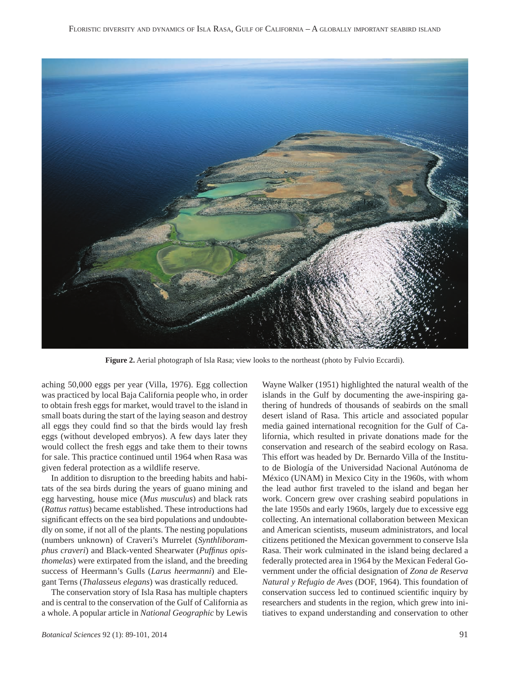

**Figure 2.** Aerial photograph of Isla Rasa; view looks to the northeast (photo by Fulvio Eccardi).

aching 50,000 eggs per year (Villa, 1976). Egg collection was practiced by local Baja California people who, in order to obtain fresh eggs for market, would travel to the island in small boats during the start of the laying season and destroy all eggs they could find so that the birds would lay fresh eggs (without developed embryos). A few days later they would collect the fresh eggs and take them to their towns for sale. This practice continued until 1964 when Rasa was given federal protection as a wildlife reserve.

 In addition to disruption to the breeding habits and habitats of the sea birds during the years of guano mining and egg harvesting, house mice (*Mus musculus*) and black rats (*Rattus rattus*) became established. These introductions had significant effects on the sea bird populations and undoubtedly on some, if not all of the plants. The nesting populations (numbers unknown) of Craveri's Murrelet (*Synthliboramphus craveri*) and Black-vented Shearwater (*Puffinus opisthomelas*) were extirpated from the island, and the breeding success of Heermann's Gulls (*Larus heermanni*) and Elegant Terns (*Thalasseus elegans*) was drastically reduced.

 The conservation story of Isla Rasa has multiple chapters and is central to the conservation of the Gulf of California as a whole. A popular article in *National Geographic* by Lewis

*Botanical Sciences* 92 (1): 89-101, 2014 91

Wayne Walker (1951) highlighted the natural wealth of the islands in the Gulf by documenting the awe-inspiring gathering of hundreds of thousands of seabirds on the small desert island of Rasa. This article and associated popular media gained international recognition for the Gulf of California, which resulted in private donations made for the conservation and research of the seabird ecology on Rasa. This effort was headed by Dr. Bernardo Villa of the Instituto de Biología of the Universidad Nacional Autónoma de México (UNAM) in Mexico City in the 1960s, with whom the lead author first traveled to the island and began her work. Concern grew over crashing seabird populations in the late 1950s and early 1960s, largely due to excessive egg collecting. An international collaboration between Mexican and American scientists, museum administrators, and local citizens petitioned the Mexican government to conserve Isla Rasa. Their work culminated in the island being declared a federally protected area in 1964 by the Mexican Federal Government under the official designation of *Zona de Reserva Natural y Refugio de Aves* (DOF, 1964). This foundation of conservation success led to continued scientific inquiry by researchers and students in the region, which grew into initiatives to expand understanding and conservation to other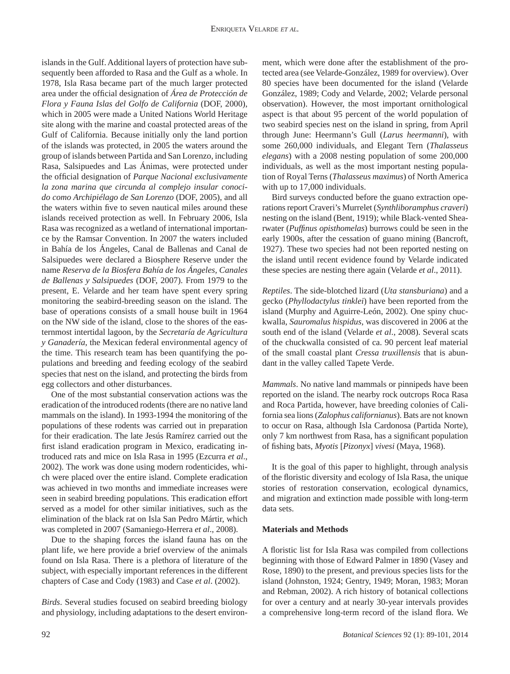islands in the Gulf. Additional layers of protection have subsequently been afforded to Rasa and the Gulf as a whole. In 1978, Isla Rasa became part of the much larger protected area under the official designation of *Área de Protección de Flora y Fauna Islas del Golfo de California* (DOF, 2000), which in 2005 were made a United Nations World Heritage site along with the marine and coastal protected areas of the Gulf of California. Because initially only the land portion of the islands was protected, in 2005 the waters around the group of islands between Partida and San Lorenzo, including Rasa, Salsipuedes and Las Ánimas, were protected under the official designation of *Parque Nacional exclusivamente la zona marina que circunda al complejo insular conocido como Archipiélago de San Lorenzo* (DOF, 2005), and all the waters within five to seven nautical miles around these islands received protection as well. In February 2006, Isla Rasa was recognized as a wetland of international importance by the Ramsar Convention. In 2007 the waters included in Bahía de los Ángeles, Canal de Ballenas and Canal de Salsipuedes were declared a Biosphere Reserve under the name *Reserva de la Biosfera Bahía de los Ángeles, Canales de Ballenas y Salsipuedes* (DOF, 2007). From 1979 to the present, E. Velarde and her team have spent every spring monitoring the seabird-breeding season on the island. The base of operations consists of a small house built in 1964 on the NW side of the island, close to the shores of the easternmost intertidal lagoon, by the *Secretaría de Agricultura y Ganadería*, the Mexican federal environmental agency of the time. This research team has been quantifying the populations and breeding and feeding ecology of the seabird species that nest on the island, and protecting the birds from egg collectors and other disturbances.

 One of the most substantial conservation actions was the eradication of the introduced rodents (there are no native land mammals on the island). In 1993-1994 the monitoring of the populations of these rodents was carried out in preparation for their eradication. The late Jesús Ramírez carried out the first island eradication program in Mexico, eradicating introduced rats and mice on Isla Rasa in 1995 (Ezcurra *et al*., 2002). The work was done using modern rodenticides, which were placed over the entire island. Complete eradication was achieved in two months and immediate increases were seen in seabird breeding populations. This eradication effort served as a model for other similar initiatives, such as the elimination of the black rat on Isla San Pedro Mártir, which was completed in 2007 (Samaniego-Herrera *et al*., 2008).

 Due to the shaping forces the island fauna has on the plant life, we here provide a brief overview of the animals found on Isla Rasa. There is a plethora of literature of the subject, with especially important references in the different chapters of Case and Cody (1983) and Case *et al*. (2002).

*Birds*. Several studies focused on seabird breeding biology and physiology, including adaptations to the desert environment, which were done after the establishment of the protected area (see Velarde-González, 1989 for overview). Over 80 species have been documented for the island (Velarde González, 1989; Cody and Velarde, 2002; Velarde personal observation). However, the most important ornithological aspect is that about 95 percent of the world population of two seabird species nest on the island in spring, from April through June: Heermann's Gull (*Larus heermanni*), with some 260,000 individuals, and Elegant Tern (*Thalasseus elegans*) with a 2008 nesting population of some 200,000 individuals, as well as the most important nesting population of Royal Terns (*Thalasseus maximus*) of North America with up to 17,000 individuals.

 Bird surveys conducted before the guano extraction operations report Craveri's Murrelet (*Synthliboramphus craveri*) nesting on the island (Bent, 1919); while Black-vented Shearwater (*Puffinus opisthomelas*) burrows could be seen in the early 1900s, after the cessation of guano mining (Bancroft, 1927). These two species had not been reported nesting on the island until recent evidence found by Velarde indicated these species are nesting there again (Velarde *et al*., 2011).

*Reptiles*. The side-blotched lizard (*Uta stansburiana*) and a gecko (*Phyllodactylus tinklei*) have been reported from the island (Murphy and Aguirre-León, 2002). One spiny chuckwalla, *Sauromalus hispidus*, was discovered in 2006 at the south end of the island (Velarde *et al*., 2008). Several scats of the chuckwalla consisted of ca. 90 percent leaf material of the small coastal plant *Cressa truxillensis* that is abundant in the valley called Tapete Verde.

*Mammals*. No native land mammals or pinnipeds have been reported on the island. The nearby rock outcrops Roca Rasa and Roca Partida, however, have breeding colonies of California sea lions (*Zalophus californianus*). Bats are not known to occur on Rasa, although Isla Cardonosa (Partida Norte), only 7 km northwest from Rasa, has a significant population of fishing bats, *Myotis* [*Pizonyx*] *vivesi* (Maya, 1968).

 It is the goal of this paper to highlight, through analysis of the floristic diversity and ecology of Isla Rasa, the unique stories of restoration conservation, ecological dynamics, and migration and extinction made possible with long-term data sets.

## **Materials and Methods**

A floristic list for Isla Rasa was compiled from collections beginning with those of Edward Palmer in 1890 (Vasey and Rose, 1890) to the present, and previous species lists for the island (Johnston, 1924; Gentry, 1949; Moran, 1983; Moran and Rebman, 2002). A rich history of botanical collections for over a century and at nearly 30-year intervals provides a comprehensive long-term record of the island flora. We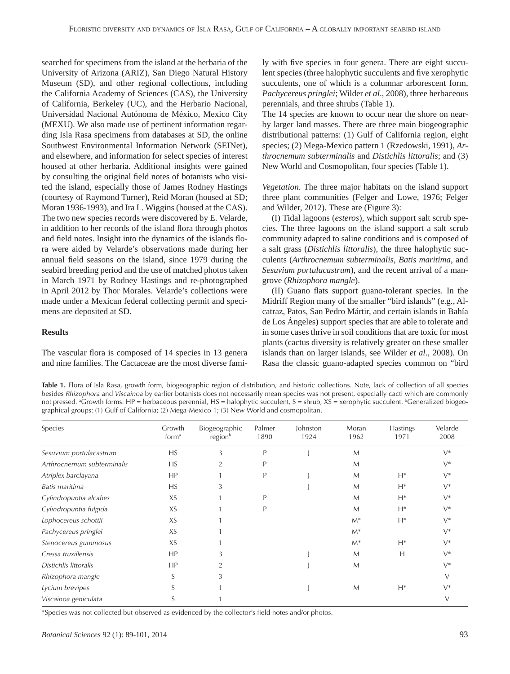searched for specimens from the island at the herbaria of the University of Arizona (ARIZ), San Diego Natural History Museum (SD), and other regional collections, including the California Academy of Sciences (CAS), the University of California, Berkeley (UC), and the Herbario Nacional, Universidad Nacional Autónoma de México, Mexico City (MEXU). We also made use of pertinent information regarding Isla Rasa specimens from databases at SD, the online Southwest Environmental Information Network (SEINet), and elsewhere, and information for select species of interest housed at other herbaria. Additional insights were gained by consulting the original field notes of botanists who visited the island, especially those of James Rodney Hastings (courtesy of Raymond Turner), Reid Moran (housed at SD; Moran 1936-1993), and Ira L. Wiggins (housed at the CAS). The two new species records were discovered by E. Velarde, in addition to her records of the island flora through photos and field notes. Insight into the dynamics of the islands flora were aided by Velarde's observations made during her annual field seasons on the island, since 1979 during the seabird breeding period and the use of matched photos taken in March 1971 by Rodney Hastings and re-photographed in April 2012 by Thor Morales. Velarde's collections were made under a Mexican federal collecting permit and specimens are deposited at SD.

### **Results**

The vascular flora is composed of 14 species in 13 genera and nine families. The Cactaceae are the most diverse family with five species in four genera. There are eight succulent species (three halophytic succulents and five xerophytic succulents, one of which is a columnar arborescent form, *Pachycereus pringlei*; Wilder *et al*., 2008), three herbaceous perennials, and three shrubs (Table 1).

The 14 species are known to occur near the shore on nearby larger land masses. There are three main biogeographic distributional patterns: (1) Gulf of California region, eight species; (2) Mega-Mexico pattern 1 (Rzedowski, 1991), *Arthrocnemum subterminalis* and *Distichlis littoralis*; and (3) New World and Cosmopolitan, four species (Table 1).

*Vegetation*. The three major habitats on the island support three plant communities (Felger and Lowe, 1976; Felger and Wilder, 2012). These are (Figure 3):

 (I) Tidal lagoons (*esteros*), which support salt scrub species. The three lagoons on the island support a salt scrub community adapted to saline conditions and is composed of a salt grass (*Distichlis littoralis*), the three halophytic succulents (*Arthrocnemum subterminalis*, *Batis maritima*, and *Sesuvium portulacastrum*), and the recent arrival of a mangrove (*Rhizophora mangle*).

(II) Guano flats support guano-tolerant species. In the Midriff Region many of the smaller "bird islands" (e.g., Alcatraz, Patos, San Pedro Mártir, and certain islands in Bahía de Los Ángeles) support species that are able to tolerate and in some cases thrive in soil conditions that are toxic for most plants (cactus diversity is relatively greater on these smaller islands than on larger islands, see Wilder *et al*., 2008). On Rasa the classic guano-adapted species common on "bird

**Table 1.** Flora of Isla Rasa, growth form, biogeographic region of distribution, and historic collections. Note, lack of collection of all species besides *Rhizophora* and *Viscainoa* by earlier botanists does not necessarily mean species was not present, especially cacti which are commonly not pressed. ªGrowth forms: HP = herbaceous perennial, HS = halophytic succulent, S = shrub, XS = xerophytic succulent. <sup>ь</sup>Generalized biogeographical groups: (1) Gulf of California; (2) Mega-Mexico 1; (3) New World and cosmopolitan.

| Species                    | Growth<br>form <sup>a</sup> | Biogeographic<br>region <sup>b</sup> | Palmer<br>1890 | Johnston<br>1924 | Moran<br>1962 | <b>Hastings</b><br>1971 | Velarde<br>2008 |
|----------------------------|-----------------------------|--------------------------------------|----------------|------------------|---------------|-------------------------|-----------------|
| Sesuvium portulacastrum    | HS                          | 3                                    | P              |                  | M             |                         | $V^*$           |
| Arthrocnemum subterminalis | HS                          | $\overline{2}$                       | P              |                  | M             |                         | $V^*$           |
| Atriplex barclayana        | HP                          |                                      | P              |                  | M             | $H^*$                   | $V^*$           |
| Batis maritima             | HS                          | 3                                    |                |                  | M             | $H^*$                   | $V^*$           |
| Cylindropuntia alcahes     | XS                          |                                      | P              |                  | M             | $H^*$                   | $V^*$           |
| Cylindropuntia fulgida     | XS                          |                                      | P              |                  | M             | $H^*$                   | $V^*$           |
| Lophocereus schottii       | XS                          |                                      |                |                  | $M^*$         | $H^*$                   | $V^*$           |
| Pachycereus pringlei       | XS                          |                                      |                |                  | $M^*$         |                         | $V^*$           |
| Stenocereus gummosus       | XS                          |                                      |                |                  | $M^*$         | $H^*$                   | $V^*$           |
| Cressa truxillensis        | HP                          | 3                                    |                |                  | M             | H                       | $V^*$           |
| Distichlis littoralis      | HP                          | $\overline{2}$                       |                |                  | M             |                         | $V^*$           |
| Rhizophora mangle          | S                           | 3                                    |                |                  |               |                         | V               |
| Lycium brevipes            |                             |                                      |                |                  | $\mathsf{M}$  | $H^*$                   | $V^*$           |
| Viscainoa geniculata       | S                           |                                      |                |                  |               |                         | $\vee$          |

\*Species was not collected but observed as evidenced by the collector's field notes and/or photos.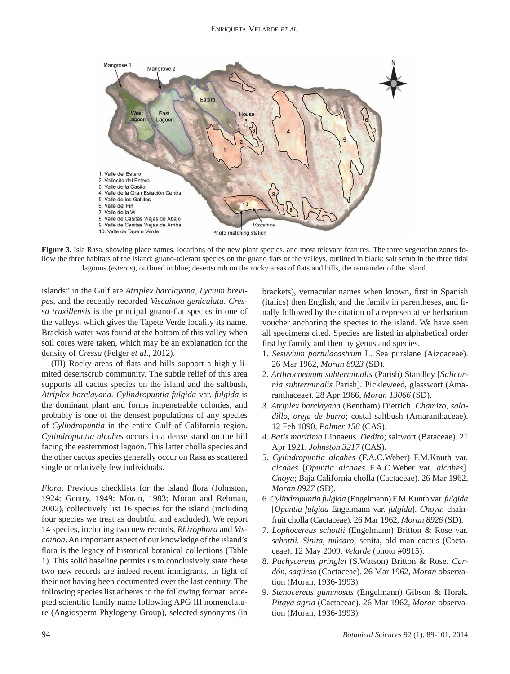

**Figure 3.** Isla Rasa, showing place names, locations of the new plant species, and most relevant features. The three vegetation zones follow the three habitats of the island: guano-tolerant species on the guano flats or the valleys, outlined in black; salt scrub in the three tidal lagoons (esteros), outlined in blue; desertscrub on the rocky areas of flats and hills, the remainder of the island.

islands" in the Gulf are *Atriplex barclayana*, *Lycium brevipes*, and the recently recorded *Viscainoa geniculata*. *Cressa truxillensis* is the principal guano-flat species in one of the valleys, which gives the Tapete Verde locality its name. Brackish water was found at the bottom of this valley when soil cores were taken, which may be an explanation for the density of *Cressa* (Felger *et al*., 2012).

(III) Rocky areas of flats and hills support a highly limited desertscrub community. The subtle relief of this area supports all cactus species on the island and the saltbush, *Atriplex barclayana. Cylindropuntia fulgida* var. *fulgida* is the dominant plant and forms impenetrable colonies, and probably is one of the densest populations of any species of *Cylindropuntia* in the entire Gulf of California region. *Cylindropuntia alcahes* occurs in a dense stand on the hill facing the easternmost lagoon. This latter cholla species and the other cactus species generally occur on Rasa as scattered single or relatively few individuals.

*Flora*. Previous checklists for the island flora (Johnston, 1924; Gentry, 1949; Moran, 1983; Moran and Rebman, 2002), collectively list 16 species for the island (including four species we treat as doubtful and excluded). We report 14 species, including two new records, *Rhizophora* and *Viscainoa*. An important aspect of our knowledge of the island's flora is the legacy of historical botanical collections (Table 1). This solid baseline permits us to conclusively state these two new records are indeed recent immigrants, in light of their not having been documented over the last century. The following species list adheres to the following format: accepted scientific family name following APG III nomenclature (Angiosperm Phylogeny Group), selected synonyms (in brackets), vernacular names when known, first in Spanish (italics) then English, and the family in parentheses, and finally followed by the citation of a representative herbarium voucher anchoring the species to the island. We have seen all specimens cited. Species are listed in alphabetical order first by family and then by genus and species.

- 1. *Sesuvium portulacastrum* L. Sea purslane (Aizoaceae). 26 Mar 1962, *Moran 8923* (SD).
- 2. *Arthrocnemum subterminalis* (Parish) Standley [*Salicornia subterminalis* Parish]. Pickleweed, glasswort (Amaranthaceae). 28 Apr 1966, *Moran 13066* (SD).
- 3. *Atriplex barclayana* (Bentham) Dietrich. *Chamizo, saladillo, oreja de burro*; costal saltbush (Amaranthaceae). 12 Feb 1890, *Palmer 158* (CAS).
- 4. *Batis maritima* Linnaeus. *Dedito*; saltwort (Bataceae). 21 Apr 1921, *Johnston 3217* (CAS).
- 5. *Cylindropuntia alcahes* (F.A.C.Weber) F.M.Knuth var. *alcahes* [*Opuntia alcahes* F.A.C.Weber var. *alcahes*]. *Choya*; Baja California cholla (Cactaceae). 26 Mar 1962, *Moran 8927* (SD).
- 6. *Cylindropuntia fulgida* (Engelmann) F.M.Kunth var. *fulgida* [*Opuntia fulgida* Engelmann var. *fulgida*]. *Choya*; chainfruit cholla (Cactaceae). 26 Mar 1962, *Moran 8926* (SD).
- 7. *Lophocereus schottii* (Engelmann) Britton & Rose var. *schottii. Sinita*, *músaro*; senita, old man cactus (Cactaceae). 12 May 2009, *Velarde* (photo #0915).
- 8. *Pachycereus pringlei* (S.Watson) Britton & Rose. *Cardón, sagüeso* (Cactaceae). 26 Mar 1962, *Moran* observation (Moran, 1936-1993).
- 9. *Stenocereus gummosus* (Engelmann) Gibson & Horak. *Pitaya agria* (Cactaceae). 26 Mar 1962, *Moran* observation (Moran, 1936-1993).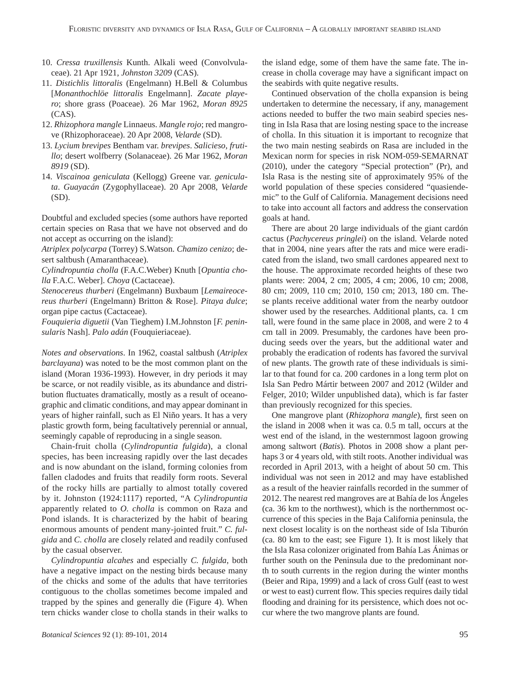- 10. *Cressa truxillensis* Kunth. Alkali weed (Convolvulaceae). 21 Apr 1921, *Johnston 3209* (CAS).
- 11. *Distichlis littoralis* (Engelmann) H.Bell & Columbus [*Monanthochlöe littoralis* Engelmann]. *Zacate playero*; shore grass (Poaceae). 26 Mar 1962, *Moran 8925*  (CAS).
- 12. *Rhizophora mangle* Linnaeus. *Mangle rojo*; red mangrove (Rhizophoraceae). 20 Apr 2008, *Velarde* (SD).
- 13. *Lycium brevipes* Bentham var. *brevipes*. *Salicieso*, *frutillo*; desert wolfberry (Solanaceae). 26 Mar 1962, *Moran 8919* (SD).
- 14. *Viscainoa geniculata* (Kellogg) Greene var. *geniculata*. *Guayacán* (Zygophyllaceae). 20 Apr 2008, *Velarde*  (SD).

Doubtful and excluded species (some authors have reported certain species on Rasa that we have not observed and do not accept as occurring on the island):

*Atriplex polycarpa* (Torrey) S.Watson. *Chamizo cenizo*; desert saltbush (Amaranthaceae).

*Cylindropuntia cholla* (F.A.C.Weber) Knuth [*Opuntia cholla* F.A.C. Weber]. *Choya* (Cactaceae).

*Stenocereus thurberi* (Engelmann) Buxbaum [*Lemaireocereus thurberi* (Engelmann) Britton & Rose]. *Pitaya dulce*; organ pipe cactus (Cactaceae).

*Fouquieria diguetii* (Van Tieghem) I.M.Johnston [*F. peninsularis* Nash]. *Palo adán* (Fouquieriaceae).

*Notes and observations*. In 1962, coastal saltbush (*Atriplex barclayana*) was noted to be the most common plant on the island (Moran 1936-1993). However, in dry periods it may be scarce, or not readily visible, as its abundance and distribution fluctuates dramatically, mostly as a result of oceanographic and climatic conditions, and may appear dominant in years of higher rainfall, such as El Niño years. It has a very plastic growth form, being facultatively perennial or annual, seemingly capable of reproducing in a single season.

 Chain-fruit cholla (*Cylindropuntia fulgida*), a clonal species, has been increasing rapidly over the last decades and is now abundant on the island, forming colonies from fallen cladodes and fruits that readily form roots. Several of the rocky hills are partially to almost totally covered by it. Johnston (1924:1117) reported, "A *Cylindropuntia* apparently related to *O. cholla* is common on Raza and Pond islands. It is characterized by the habit of bearing enormous amounts of pendent many-jointed fruit." *C. fulgida* and *C. cholla* are closely related and readily confused by the casual observer.

*Cylindropuntia alcahes* and especially *C. fulgida*, both have a negative impact on the nesting birds because many of the chicks and some of the adults that have territories contiguous to the chollas sometimes become impaled and trapped by the spines and generally die (Figure 4). When tern chicks wander close to cholla stands in their walks to the island edge, some of them have the same fate. The increase in cholla coverage may have a significant impact on the seabirds with quite negative results.

 Continued observation of the cholla expansion is being undertaken to determine the necessary, if any, management actions needed to buffer the two main seabird species nesting in Isla Rasa that are losing nesting space to the increase of cholla. In this situation it is important to recognize that the two main nesting seabirds on Rasa are included in the Mexican norm for species in risk NOM-059-SEMARNAT (2010), under the category "Special protection" (Pr), and Isla Rasa is the nesting site of approximately 95% of the world population of these species considered "quasiendemic" to the Gulf of California. Management decisions need to take into account all factors and address the conservation goals at hand.

 There are about 20 large individuals of the giant cardón cactus (*Pachycereus pringlei*) on the island. Velarde noted that in 2004, nine years after the rats and mice were eradicated from the island, two small cardones appeared next to the house. The approximate recorded heights of these two plants were: 2004, 2 cm; 2005, 4 cm; 2006, 10 cm; 2008, 80 cm; 2009, 110 cm; 2010, 150 cm; 2013, 180 cm. These plants receive additional water from the nearby outdoor shower used by the researches. Additional plants, ca. 1 cm tall, were found in the same place in 2008, and were 2 to 4 cm tall in 2009. Presumably, the cardones have been producing seeds over the years, but the additional water and probably the eradication of rodents has favored the survival of new plants. The growth rate of these individuals is similar to that found for ca. 200 cardones in a long term plot on Isla San Pedro Mártir between 2007 and 2012 (Wilder and Felger, 2010; Wilder unpublished data), which is far faster than previously recognized for this species.

One mangrove plant *(Rhizophora mangle)*, first seen on the island in 2008 when it was ca. 0.5 m tall, occurs at the west end of the island, in the westernmost lagoon growing among saltwort (*Batis*). Photos in 2008 show a plant perhaps 3 or 4 years old, with stilt roots. Another individual was recorded in April 2013, with a height of about 50 cm. This individual was not seen in 2012 and may have established as a result of the heavier rainfalls recorded in the summer of 2012. The nearest red mangroves are at Bahía de los Ángeles (ca. 36 km to the northwest), which is the northernmost occurrence of this species in the Baja California peninsula, the next closest locality is on the northeast side of Isla Tiburón (ca. 80 km to the east; see Figure 1). It is most likely that the Isla Rasa colonizer originated from Bahía Las Ánimas or further south on the Peninsula due to the predominant north to south currents in the region during the winter months (Beier and Ripa, 1999) and a lack of cross Gulf (east to west or west to east) current flow. This species requires daily tidal flooding and draining for its persistence, which does not occur where the two mangrove plants are found.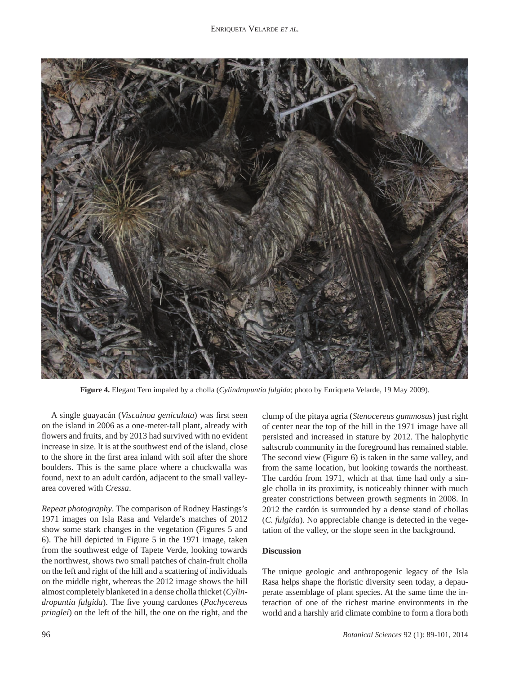

**Figure 4.** Elegant Tern impaled by a cholla (*Cylindropuntia fulgida*; photo by Enriqueta Velarde, 19 May 2009).

A single guayacán (*Viscainoa geniculata*) was first seen on the island in 2006 as a one-meter-tall plant, already with flowers and fruits, and by 2013 had survived with no evident increase in size. It is at the southwest end of the island, close to the shore in the first area inland with soil after the shore boulders. This is the same place where a chuckwalla was found, next to an adult cardón, adjacent to the small valleyarea covered with *Cressa*.

*Repeat photography*. The comparison of Rodney Hastings's 1971 images on Isla Rasa and Velarde's matches of 2012 show some stark changes in the vegetation (Figures 5 and 6). The hill depicted in Figure 5 in the 1971 image, taken from the southwest edge of Tapete Verde, looking towards the northwest, shows two small patches of chain-fruit cholla on the left and right of the hill and a scattering of individuals on the middle right, whereas the 2012 image shows the hill almost completely blanketed in a dense cholla thicket (*Cylindropuntia fulgida*). The five young cardones (*Pachycereus pringlei*) on the left of the hill, the one on the right, and the clump of the pitaya agria (*Stenocereus gummosus*) just right of center near the top of the hill in the 1971 image have all persisted and increased in stature by 2012. The halophytic saltscrub community in the foreground has remained stable. The second view (Figure 6) is taken in the same valley, and from the same location, but looking towards the northeast. The cardón from 1971, which at that time had only a single cholla in its proximity, is noticeably thinner with much greater constrictions between growth segments in 2008. In 2012 the cardón is surrounded by a dense stand of chollas (*C. fulgida*). No appreciable change is detected in the vegetation of the valley, or the slope seen in the background.

### **Discussion**

The unique geologic and anthropogenic legacy of the Isla Rasa helps shape the floristic diversity seen today, a depauperate assemblage of plant species. At the same time the interaction of one of the richest marine environments in the world and a harshly arid climate combine to form a flora both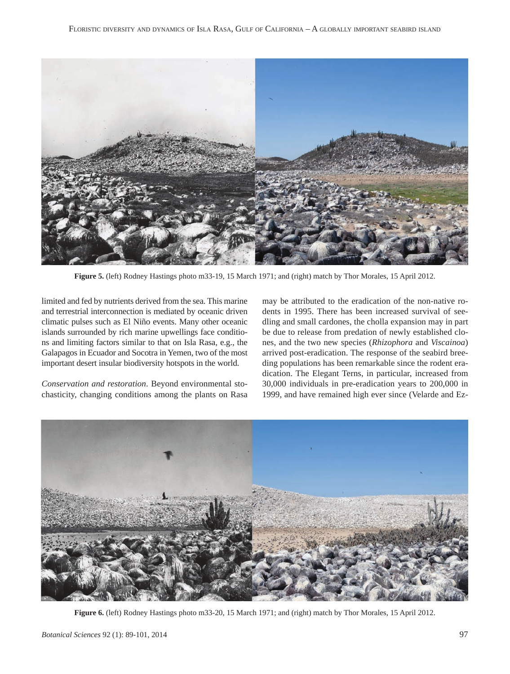

**Figure 5.** (left) Rodney Hastings photo m33-19, 15 March 1971; and (right) match by Thor Morales, 15 April 2012.

limited and fed by nutrients derived from the sea. This marine and terrestrial interconnection is mediated by oceanic driven climatic pulses such as El Niño events. Many other oceanic islands surrounded by rich marine upwellings face conditions and limiting factors similar to that on Isla Rasa, e.g., the Galapagos in Ecuador and Socotra in Yemen, two of the most important desert insular biodiversity hotspots in the world.

*Conservation and restoration*. Beyond environmental stochasticity, changing conditions among the plants on Rasa may be attributed to the eradication of the non-native rodents in 1995. There has been increased survival of seedling and small cardones, the cholla expansion may in part be due to release from predation of newly established clones, and the two new species (*Rhizophora* and *Viscainoa*) arrived post-eradication. The response of the seabird breeding populations has been remarkable since the rodent eradication. The Elegant Terns, in particular, increased from 30,000 individuals in pre-eradication years to 200,000 in 1999, and have remained high ever since (Velarde and Ez-



**Figure 6.** (left) Rodney Hastings photo m33-20, 15 March 1971; and (right) match by Thor Morales, 15 April 2012.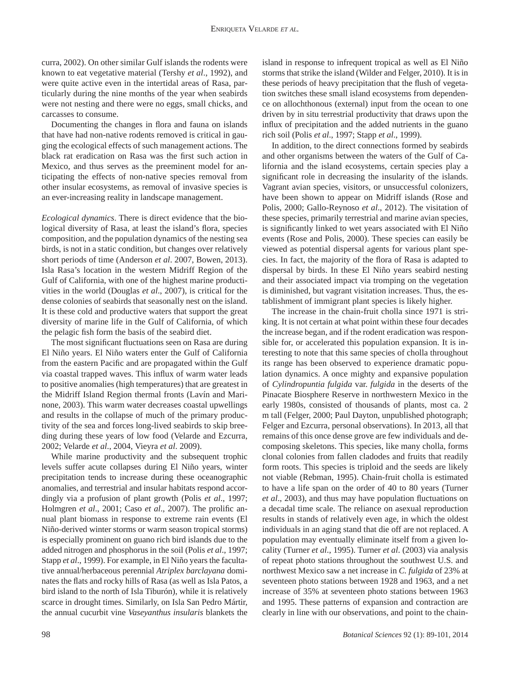curra, 2002). On other similar Gulf islands the rodents were known to eat vegetative material (Tershy *et al*., 1992), and were quite active even in the intertidal areas of Rasa, particularly during the nine months of the year when seabirds were not nesting and there were no eggs, small chicks, and carcasses to consume.

Documenting the changes in flora and fauna on islands that have had non-native rodents removed is critical in gauging the ecological effects of such management actions. The black rat eradication on Rasa was the first such action in Mexico, and thus serves as the preeminent model for anticipating the effects of non-native species removal from other insular ecosystems, as removal of invasive species is an ever-increasing reality in landscape management.

*Ecological dynamics*. There is direct evidence that the biological diversity of Rasa, at least the island's flora, species composition, and the population dynamics of the nesting sea birds, is not in a static condition, but changes over relatively short periods of time (Anderson *et al*. 2007, Bowen, 2013). Isla Rasa's location in the western Midriff Region of the Gulf of California, with one of the highest marine productivities in the world (Douglas *et al*., 2007), is critical for the dense colonies of seabirds that seasonally nest on the island. It is these cold and productive waters that support the great diversity of marine life in the Gulf of California, of which the pelagic fish form the basis of the seabird diet.

The most significant fluctuations seen on Rasa are during El Niño years. El Niño waters enter the Gulf of California from the eastern Pacific and are propagated within the Gulf via coastal trapped waves. This influx of warm water leads to positive anomalies (high temperatures) that are greatest in the Midriff Island Region thermal fronts (Lavín and Marinone, 2003). This warm water decreases coastal upwellings and results in the collapse of much of the primary productivity of the sea and forces long-lived seabirds to skip breeding during these years of low food (Velarde and Ezcurra, 2002; Velarde *et al*., 2004, Vieyra *et al*. 2009).

 While marine productivity and the subsequent trophic levels suffer acute collapses during El Niño years, winter precipitation tends to increase during these oceanographic anomalies, and terrestrial and insular habitats respond accordingly via a profusion of plant growth (Polis *et al*., 1997; Holmgren *et al.*, 2001; Caso *et al.*, 2007). The prolific annual plant biomass in response to extreme rain events (El Niño-derived winter storms or warm season tropical storms) is especially prominent on guano rich bird islands due to the added nitrogen and phosphorus in the soil (Polis *et al*., 1997; Stapp *et al*., 1999). For example, in El Niño years the facultative annual/herbaceous perennial *Atriplex barclayana* dominates the flats and rocky hills of Rasa (as well as Isla Patos, a bird island to the north of Isla Tiburón), while it is relatively scarce in drought times. Similarly, on Isla San Pedro Mártir, the annual cucurbit vine *Vaseyanthus insularis* blankets the island in response to infrequent tropical as well as El Niño storms that strike the island (Wilder and Felger, 2010). It is in these periods of heavy precipitation that the flush of vegetation switches these small island ecosystems from dependence on allochthonous (external) input from the ocean to one driven by in situ terrestrial productivity that draws upon the influx of precipitation and the added nutrients in the guano rich soil (Polis *et al*., 1997; Stapp *et al*., 1999).

 In addition, to the direct connections formed by seabirds and other organisms between the waters of the Gulf of California and the island ecosystems, certain species play a significant role in decreasing the insularity of the islands. Vagrant avian species, visitors, or unsuccessful colonizers, have been shown to appear on Midriff islands (Rose and Polis, 2000; Gallo-Reynoso *et al*., 2012). The visitation of these species, primarily terrestrial and marine avian species, is significantly linked to wet years associated with El Niño events (Rose and Polis, 2000). These species can easily be viewed as potential dispersal agents for various plant species. In fact, the majority of the flora of Rasa is adapted to dispersal by birds. In these El Niño years seabird nesting and their associated impact via tromping on the vegetation is diminished, but vagrant visitation increases. Thus, the establishment of immigrant plant species is likely higher.

 The increase in the chain-fruit cholla since 1971 is striking. It is not certain at what point within these four decades the increase began, and if the rodent eradication was responsible for, or accelerated this population expansion. It is interesting to note that this same species of cholla throughout its range has been observed to experience dramatic population dynamics. A once mighty and expansive population of *Cylindropuntia fulgida* var. *fulgida* in the deserts of the Pinacate Biosphere Reserve in northwestern Mexico in the early 1980s, consisted of thousands of plants, most ca. 2 m tall (Felger, 2000; Paul Dayton, unpublished photograph; Felger and Ezcurra, personal observations). In 2013, all that remains of this once dense grove are few individuals and decomposing skeletons. This species, like many cholla, forms clonal colonies from fallen cladodes and fruits that readily form roots. This species is triploid and the seeds are likely not viable (Rebman, 1995). Chain-fruit cholla is estimated to have a life span on the order of 40 to 80 years (Turner *et al.*, 2003), and thus may have population fluctuations on a decadal time scale. The reliance on asexual reproduction results in stands of relatively even age, in which the oldest individuals in an aging stand that die off are not replaced. A population may eventually eliminate itself from a given locality (Turner *et al*., 1995). Turner *et al*. (2003) via analysis of repeat photo stations throughout the southwest U.S. and northwest Mexico saw a net increase in *C. fulgida* of 23% at seventeen photo stations between 1928 and 1963, and a net increase of 35% at seventeen photo stations between 1963 and 1995. These patterns of expansion and contraction are clearly in line with our observations, and point to the chain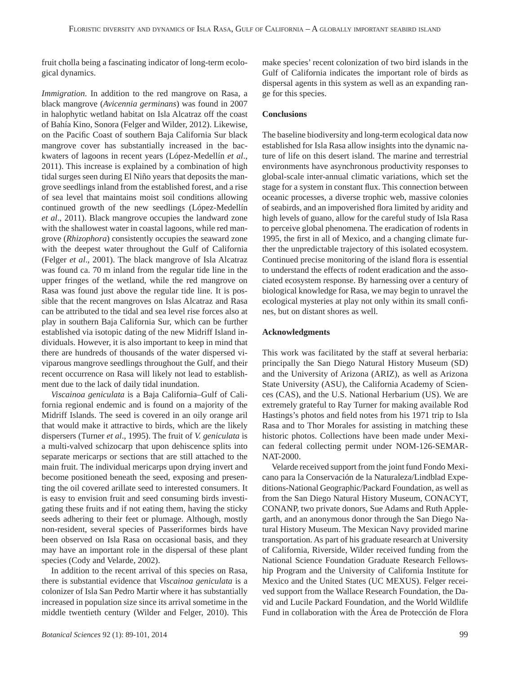fruit cholla being a fascinating indicator of long-term ecological dynamics.

*Immigration*. In addition to the red mangrove on Rasa, a black mangrove (*Avicennia germinans*) was found in 2007 in halophytic wetland habitat on Isla Alcatraz off the coast of Bahía Kino, Sonora (Felger and Wilder, 2012). Likewise, on the Pacific Coast of southern Baja California Sur black mangrove cover has substantially increased in the backwaters of lagoons in recent years (López-Medellín *et al*., 2011). This increase is explained by a combination of high tidal surges seen during El Niño years that deposits the mangrove seedlings inland from the established forest, and a rise of sea level that maintains moist soil conditions allowing continued growth of the new seedlings (López-Medellín *et al*., 2011). Black mangrove occupies the landward zone with the shallowest water in coastal lagoons, while red mangrove (*Rhizophora*) consistently occupies the seaward zone with the deepest water throughout the Gulf of California (Felger *et al*., 2001). The black mangrove of Isla Alcatraz was found ca. 70 m inland from the regular tide line in the upper fringes of the wetland, while the red mangrove on Rasa was found just above the regular tide line. It is possible that the recent mangroves on Islas Alcatraz and Rasa can be attributed to the tidal and sea level rise forces also at play in southern Baja California Sur, which can be further established via isotopic dating of the new Midriff Island individuals. However, it is also important to keep in mind that there are hundreds of thousands of the water dispersed viviparous mangrove seedlings throughout the Gulf, and their recent occurrence on Rasa will likely not lead to establishment due to the lack of daily tidal inundation.

*Viscainoa geniculata* is a Baja California–Gulf of California regional endemic and is found on a majority of the Midriff Islands. The seed is covered in an oily orange aril that would make it attractive to birds, which are the likely dispersers (Turner *et al*., 1995). The fruit of *V. geniculata* is a multi-valved schizocarp that upon dehiscence splits into separate mericarps or sections that are still attached to the main fruit. The individual mericarps upon drying invert and become positioned beneath the seed, exposing and presenting the oil covered arillate seed to interested consumers. It is easy to envision fruit and seed consuming birds investigating these fruits and if not eating them, having the sticky seeds adhering to their feet or plumage. Although, mostly non-resident, several species of Passeriformes birds have been observed on Isla Rasa on occasional basis, and they may have an important role in the dispersal of these plant species (Cody and Velarde, 2002).

 In addition to the recent arrival of this species on Rasa, there is substantial evidence that *Viscainoa geniculata* is a colonizer of Isla San Pedro Martir where it has substantially increased in population size since its arrival sometime in the middle twentieth century (Wilder and Felger, 2010). This make species' recent colonization of two bird islands in the Gulf of California indicates the important role of birds as dispersal agents in this system as well as an expanding range for this species.

#### **Conclusions**

The baseline biodiversity and long-term ecological data now established for Isla Rasa allow insights into the dynamic nature of life on this desert island. The marine and terrestrial environments have asynchronous productivity responses to global-scale inter-annual climatic variations, which set the stage for a system in constant flux. This connection between oceanic processes, a diverse trophic web, massive colonies of seabirds, and an impoverished flora limited by aridity and high levels of guano, allow for the careful study of Isla Rasa to perceive global phenomena. The eradication of rodents in 1995, the first in all of Mexico, and a changing climate further the unpredictable trajectory of this isolated ecosystem. Continued precise monitoring of the island flora is essential to understand the effects of rodent eradication and the associated ecosystem response. By harnessing over a century of biological knowledge for Rasa, we may begin to unravel the ecological mysteries at play not only within its small confines, but on distant shores as well.

#### **Acknowledgments**

This work was facilitated by the staff at several herbaria: principally the San Diego Natural History Museum (SD) and the University of Arizona (ARIZ), as well as Arizona State University (ASU), the California Academy of Sciences (CAS), and the U.S. National Herbarium (US). We are extremely grateful to Ray Turner for making available Rod Hastings's photos and field notes from his 1971 trip to Isla Rasa and to Thor Morales for assisting in matching these historic photos. Collections have been made under Mexican federal collecting permit under NOM-126-SEMAR-NAT-2000.

 Velarde received support from the joint fund Fondo Mexicano para la Conservación de la Naturaleza/Lindblad Expeditions-National Geographic/Packard Foundation, as well as from the San Diego Natural History Museum, CONACYT, CONANP, two private donors, Sue Adams and Ruth Applegarth, and an anonymous donor through the San Diego Natural History Museum. The Mexican Navy provided marine transportation. As part of his graduate research at University of California, Riverside, Wilder received funding from the National Science Foundation Graduate Research Fellowship Program and the University of California Institute for Mexico and the United States (UC MEXUS). Felger received support from the Wallace Research Foundation, the David and Lucile Packard Foundation, and the World Wildlife Fund in collaboration with the Área de Protección de Flora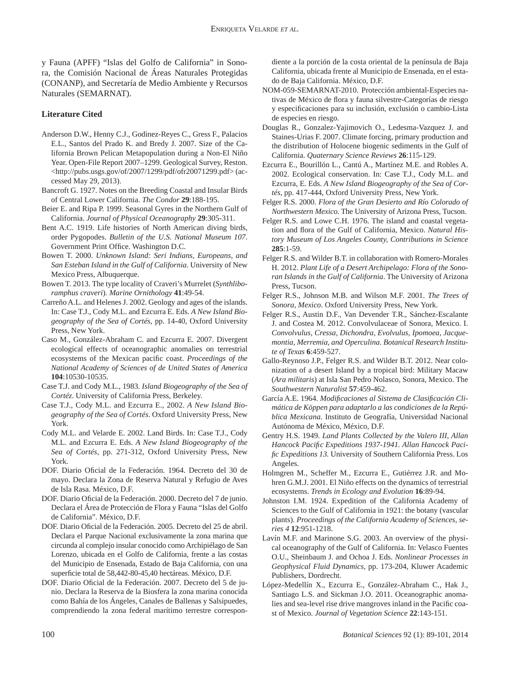y Fauna (APFF) "Islas del Golfo de California" in Sonora, the Comisión Nacional de Áreas Naturales Protegidas (CONANP), and Secretaría de Medio Ambiente y Recursos Naturales (SEMARNAT).

## **Literature Cited**

- Anderson D.W., Henny C.J., Godinez-Reyes C., Gress F., Palacios E.L., Santos del Prado K. and Bredy J. 2007. Size of the California Brown Pelican Metapopulation during a Non-El Niño Year. Open-File Report 2007–1299. Geological Survey, Reston. <http://pubs.usgs.gov/of/2007/1299/pdf/ofr20071299.pdf> (accessed May 29, 2013).
- Bancroft G. 1927. Notes on the Breeding Coastal and Insular Birds of Central Lower California. *The Condor* **29**:188-195.
- Beier E. and Ripa P. 1999. Seasonal Gyres in the Northern Gulf of California. *Journal of Physical Oceanography* **29**:305-311.
- Bent A.C. 1919. Life histories of North American diving birds, order Pygopodes. *Bulletin of the U.S. National Museum 107*. Government Print Office. Washington D.C.
- Bowen T. 2000. *Unknown Island: Seri Indians, Europeans, and San Esteban Island in the Gulf of California*. University of New Mexico Press, Albuquerque.
- Bowen T. 2013. The type locality of Craveri's Murrelet (*Synthliboramphus craveri*). *Marine Ornithology* **41**:49-54.
- Carreño A.L. and Helenes J. 2002. Geology and ages of the islands. In: Case T.J., Cody M.L. and Ezcurra E. Eds. *A New Island Biogeography of the Sea of Cortés*, pp. 14-40, Oxford University Press, New York.
- Caso M., González-Abraham C. and Ezcurra E. 2007. Divergent ecological effects of oceanographic anomalies on terrestrial ecosystems of the Mexican pacific coast. *Proceedings of the National Academy of Sciences of de United States of America*  **104**:10530-10535.
- Case T.J. and Cody M.L., 1983. *Island Biogeography of the Sea of Cortéz*. University of California Press, Berkeley.
- Case T.J., Cody M.L. and Ezcurra E., 2002. *A New Island Biogeography of the Sea of Cortés*. Oxford University Press, New York.
- Cody M.L. and Velarde E. 2002. Land Birds. In: Case T.J., Cody M.L. and Ezcurra E. Eds. *A New Island Biogeography of the Sea of Cortés*, pp. 271-312, Oxford University Press, New York.
- DOF. Diario Oficial de la Federación. 1964. Decreto del 30 de mayo. Declara la Zona de Reserva Natural y Refugio de Aves de Isla Rasa. México, D.F.
- DOF. Diario Oficial de la Federación. 2000. Decreto del 7 de junio. Declara el Área de Protección de Flora y Fauna "Islas del Golfo de California". México, D.F.
- DOF. Diario Oficial de la Federación. 2005. Decreto del 25 de abril. Declara el Parque Nacional exclusivamente la zona marina que circunda al complejo insular conocido como Archipiélago de San Lorenzo, ubicada en el Golfo de California, frente a las costas del Municipio de Ensenada, Estado de Baja California, con una superficie total de 58,442-80-45,40 hectáreas. México, D.F.
- DOF. Diario Oficial de la Federación. 2007. Decreto del 5 de junio. Declara la Reserva de la Biosfera la zona marina conocida como Bahía de los Ángeles, Canales de Ballenas y Salsipuedes, comprendiendo la zona federal marítimo terrestre correspon-

diente a la porción de la costa oriental de la península de Baja California, ubicada frente al Municipio de Ensenada, en el estado de Baja California. México, D.F.

- NOM-059-SEMARNAT-2010. Protección ambiental-Especies nativas de México de flora y fauna silvestre-Categorías de riesgo y especificaciones para su inclusión, exclusión o cambio-Lista de especies en riesgo.
- Douglas R., Gonzalez-Yajimovich O., Ledesma-Vazquez J. and Staines-Urias F. 2007. Climate forcing, primary production and the distribution of Holocene biogenic sediments in the Gulf of California. *Quaternary Science Reviews* **26**:115-129.
- Ezcurra E., Bourillón L., Cantú A., Martínez M.E. and Robles A. 2002. Ecological conservation. In: Case T.J., Cody M.L. and Ezcurra, E. Eds. *A New Island Biogeography of the Sea of Cortés*, pp. 417-444, Oxford University Press, New York.
- Felger R.S. 2000. *Flora of the Gran Desierto and Río Colorado of Northwestern Mexico*. The University of Arizona Press, Tucson.
- Felger R.S. and Lowe C.H. 1976. The island and coastal vegetation and flora of the Gulf of California, Mexico. *Natural History Museum of Los Angeles County, Contributions in Science*  **285**:1-59.
- Felger R.S. and Wilder B.T. in collaboration with Romero-Morales H. 2012. *Plant Life of a Desert Archipelago: Flora of the Sonoran Islands in the Gulf of California*. The University of Arizona Press, Tucson.
- Felger R.S., Johnson M.B. and Wilson M.F. 2001. *The Trees of Sonora, Mexico*. Oxford University Press, New York.
- Felger R.S., Austin D.F., Van Devender T.R., Sánchez-Escalante J. and Costea M. 2012. Convolvulaceae of Sonora, Mexico. I. *Convolvulus, Cressa, Dichondra, Evolvulus, Ipomoea, Jacquemontia, Merremia, and Operculina. Botanical Research Institute of Texas* **6**:459-527.
- Gallo-Reynoso J.P., Felger R.S. and Wilder B.T. 2012. Near colonization of a desert Island by a tropical bird: Military Macaw (*Ara militaris*) at Isla San Pedro Nolasco, Sonora, Mexico. The *Southwestern Naturalist* **57**:459-462.
- García A.E. 1964. *Modifi caciones al Sistema de Clasifi cación Climática de Köppen para adaptarlo a las condiciones de la República Mexicana*. Instituto de Geografía, Universidad Nacional Autónoma de México, México, D.F.
- Gentry H.S. 1949. *Land Plants Collected by the Valero III, Allan Hancock Pacifi c Expeditions 1937-1941. Allan Hancock Pacifi c Expeditions 13.* University of Southern California Press. Los Angeles.
- Holmgren M., Scheffer M., Ezcurra E., Gutiérrez J.R. and Mohren G.M.J. 2001. El Niño effects on the dynamics of terrestrial ecosystems. *Trends in Ecology and Evolution* **16**:89-94.
- Johnston I.M. 1924. Expedition of the California Academy of Sciences to the Gulf of California in 1921: the botany (vascular plants). *Proceedings of the California Academy of Sciences, series 4* **12**:951-1218.
- Lavín M.F. and Marinone S.G. 2003. An overview of the physical oceanography of the Gulf of California. In: Velasco Fuentes O.U., Sheinbaum J. and Ochoa J. Eds. *Nonlinear Processes in Geophysical Fluid Dynamics*, pp. 173-204, Kluwer Academic Publishers, Dordrecht.
- López-Medellín X., Ezcurra E., González-Abraham C., Hak J., Santiago L.S. and Sickman J.O. 2011. Oceanographic anomalies and sea-level rise drive mangroves inland in the Pacific coast of Mexico. *Journal of Vegetation Science* **22**:143-151.